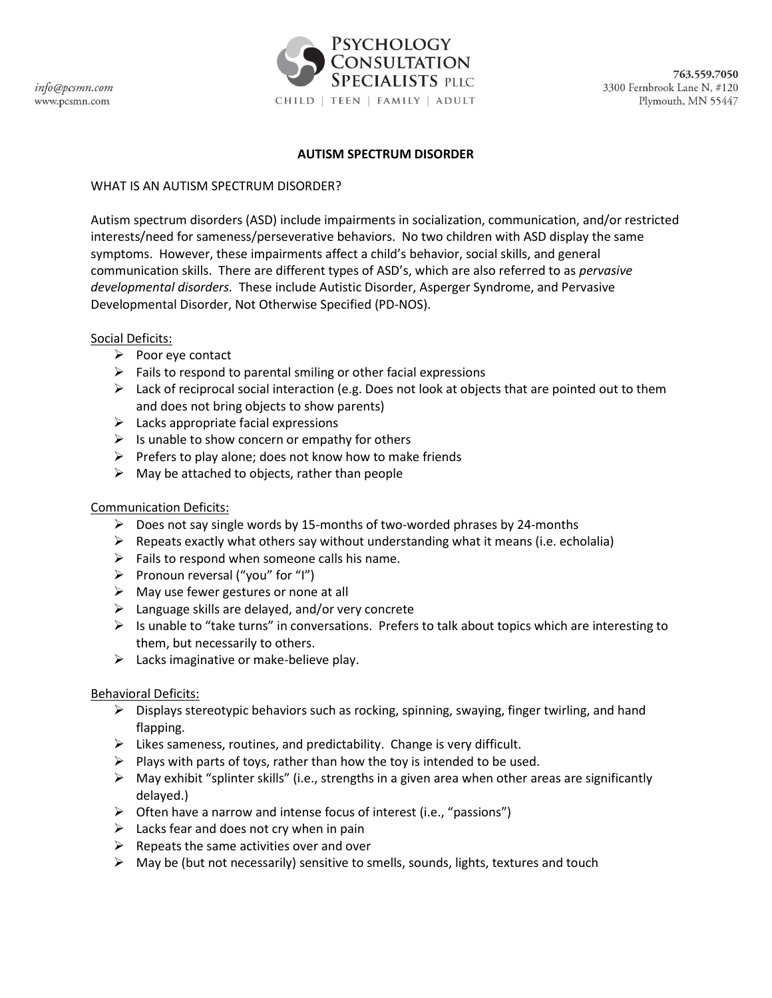

#### **AUTISM SPECTRUM DISORDER**

### WHAT IS AN AUTISM SPECTRUM DISORDER?

Autism spectrum disorders (ASD) include impairments in socialization, communication, and/or restricted interests/need for sameness/perseverative behaviors. No two children with ASD display the same symptoms. However, these impairments affect a child's behavior, social skills, and general communication skills. There are different types of ASD's, which are also referred to as *pervasive developmental disorders.* These include Autistic Disorder, Asperger Syndrome, and Pervasive Developmental Disorder, Not Otherwise Specified (PD-NOS).

### Social Deficits:

- $\triangleright$  Poor eye contact
- $\triangleright$  Fails to respond to parental smiling or other facial expressions
- $\triangleright$  Lack of reciprocal social interaction (e.g. Does not look at objects that are pointed out to them and does not bring objects to show parents)
- $\triangleright$  Lacks appropriate facial expressions
- $\triangleright$  Is unable to show concern or empathy for others
- $\triangleright$  Prefers to play alone; does not know how to make friends
- $\triangleright$  May be attached to objects, rather than people

### Communication Deficits:

- $\triangleright$  Does not say single words by 15-months of two-worded phrases by 24-months
- $\triangleright$  Repeats exactly what others say without understanding what it means (i.e. echolalia)
- $\triangleright$  Fails to respond when someone calls his name.
- $\triangleright$  Pronoun reversal ("you" for "I")
- $\triangleright$  May use fewer gestures or none at all
- $\triangleright$  Language skills are delayed, and/or very concrete
- $\triangleright$  Is unable to "take turns" in conversations. Prefers to talk about topics which are interesting to them, but necessarily to others.
- $\triangleright$  Lacks imaginative or make-believe play.

### Behavioral Deficits:

- $\triangleright$  Displays stereotypic behaviors such as rocking, spinning, swaying, finger twirling, and hand flapping.
- $\triangleright$  Likes sameness, routines, and predictability. Change is very difficult.
- $\triangleright$  Plays with parts of toys, rather than how the toy is intended to be used.
- $\triangleright$  May exhibit "splinter skills" (i.e., strengths in a given area when other areas are significantly delayed.)
- $\triangleright$  Often have a narrow and intense focus of interest (i.e., "passions")
- $\triangleright$  Lacks fear and does not cry when in pain
- $\triangleright$  Repeats the same activities over and over
- $\triangleright$  May be (but not necessarily) sensitive to smells, sounds, lights, textures and touch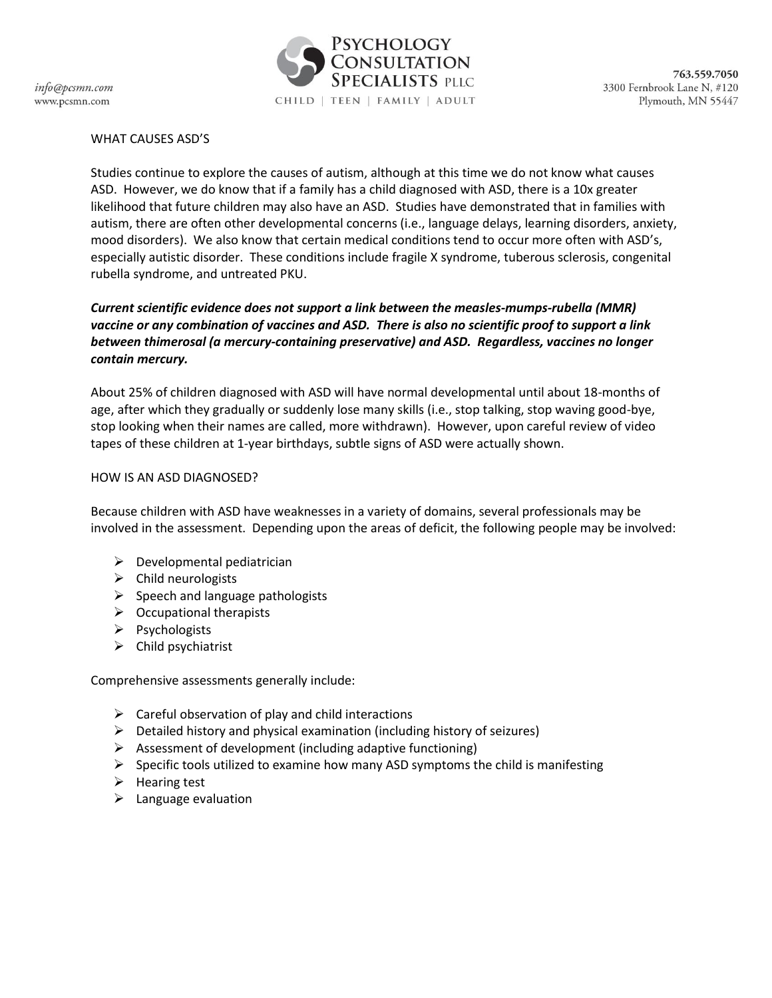info@pcsmn.com www.pcsmn.com



## WHAT CAUSES ASD'S

Studies continue to explore the causes of autism, although at this time we do not know what causes ASD. However, we do know that if a family has a child diagnosed with ASD, there is a 10x greater likelihood that future children may also have an ASD. Studies have demonstrated that in families with autism, there are often other developmental concerns (i.e., language delays, learning disorders, anxiety, mood disorders). We also know that certain medical conditions tend to occur more often with ASD's, especially autistic disorder. These conditions include fragile X syndrome, tuberous sclerosis, congenital rubella syndrome, and untreated PKU.

# *Current scientific evidence does not support a link between the measles-mumps-rubella (MMR) vaccine or any combination of vaccines and ASD. There is also no scientific proof to support a link between thimerosal (a mercury-containing preservative) and ASD. Regardless, vaccines no longer contain mercury.*

About 25% of children diagnosed with ASD will have normal developmental until about 18-months of age, after which they gradually or suddenly lose many skills (i.e., stop talking, stop waving good-bye, stop looking when their names are called, more withdrawn). However, upon careful review of video tapes of these children at 1-year birthdays, subtle signs of ASD were actually shown.

### HOW IS AN ASD DIAGNOSED?

Because children with ASD have weaknesses in a variety of domains, several professionals may be involved in the assessment. Depending upon the areas of deficit, the following people may be involved:

- $\triangleright$  Developmental pediatrician
- $\triangleright$  Child neurologists
- $\triangleright$  Speech and language pathologists
- $\triangleright$  Occupational therapists
- $\triangleright$  Psychologists
- $\triangleright$  Child psychiatrist

Comprehensive assessments generally include:

- $\triangleright$  Careful observation of play and child interactions
- $\triangleright$  Detailed history and physical examination (including history of seizures)
- $\triangleright$  Assessment of development (including adaptive functioning)
- $\triangleright$  Specific tools utilized to examine how many ASD symptoms the child is manifesting
- $\triangleright$  Hearing test
- $\blacktriangleright$  Language evaluation